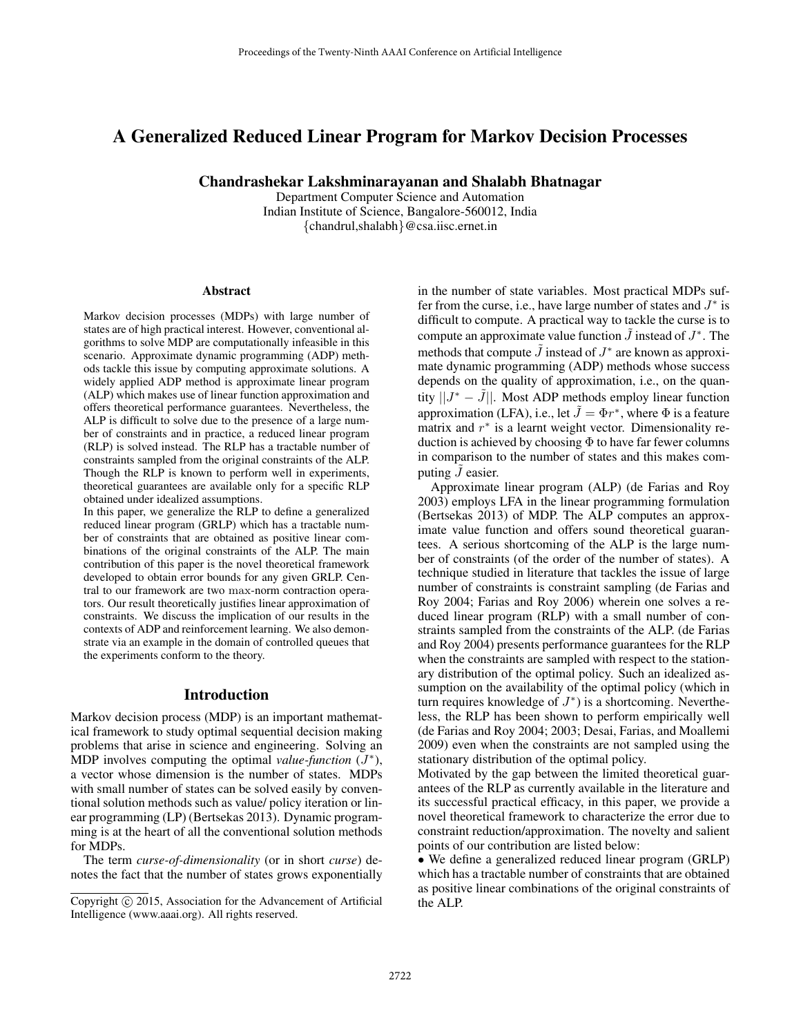# A Generalized Reduced Linear Program for Markov Decision Processes

Chandrashekar Lakshminarayanan and Shalabh Bhatnagar

Department Computer Science and Automation Indian Institute of Science, Bangalore-560012, India {chandrul,shalabh}@csa.iisc.ernet.in

#### Abstract

Markov decision processes (MDPs) with large number of states are of high practical interest. However, conventional algorithms to solve MDP are computationally infeasible in this scenario. Approximate dynamic programming (ADP) methods tackle this issue by computing approximate solutions. A widely applied ADP method is approximate linear program (ALP) which makes use of linear function approximation and offers theoretical performance guarantees. Nevertheless, the ALP is difficult to solve due to the presence of a large number of constraints and in practice, a reduced linear program (RLP) is solved instead. The RLP has a tractable number of constraints sampled from the original constraints of the ALP. Though the RLP is known to perform well in experiments, theoretical guarantees are available only for a specific RLP obtained under idealized assumptions.

In this paper, we generalize the RLP to define a generalized reduced linear program (GRLP) which has a tractable number of constraints that are obtained as positive linear combinations of the original constraints of the ALP. The main contribution of this paper is the novel theoretical framework developed to obtain error bounds for any given GRLP. Central to our framework are two max-norm contraction operators. Our result theoretically justifies linear approximation of constraints. We discuss the implication of our results in the contexts of ADP and reinforcement learning. We also demonstrate via an example in the domain of controlled queues that the experiments conform to the theory.

#### Introduction

Markov decision process (MDP) is an important mathematical framework to study optimal sequential decision making problems that arise in science and engineering. Solving an MDP involves computing the optimal *value-function*  $(J^*)$ , a vector whose dimension is the number of states. MDPs with small number of states can be solved easily by conventional solution methods such as value/ policy iteration or linear programming (LP) (Bertsekas 2013). Dynamic programming is at the heart of all the conventional solution methods for MDPs.

The term *curse-of-dimensionality* (or in short *curse*) denotes the fact that the number of states grows exponentially in the number of state variables. Most practical MDPs suffer from the curse, i.e., have large number of states and  $J^*$  is difficult to compute. A practical way to tackle the curse is to compute an approximate value function  $\tilde{J}$  instead of  $J^*$ . The methods that compute  $\tilde{J}$  instead of  $J^*$  are known as approximate dynamic programming (ADP) methods whose success depends on the quality of approximation, i.e., on the quantity  $||J^* - \tilde{J}||$ . Most ADP methods employ linear function approximation (LFA), i.e., let  $\tilde{J} = \Phi r^*$ , where  $\Phi$  is a feature matrix and  $r^*$  is a learnt weight vector. Dimensionality reduction is achieved by choosing  $\Phi$  to have far fewer columns in comparison to the number of states and this makes computing  $\ddot{J}$  easier.

Approximate linear program (ALP) (de Farias and Roy 2003) employs LFA in the linear programming formulation (Bertsekas 2013) of MDP. The ALP computes an approximate value function and offers sound theoretical guarantees. A serious shortcoming of the ALP is the large number of constraints (of the order of the number of states). A technique studied in literature that tackles the issue of large number of constraints is constraint sampling (de Farias and Roy 2004; Farias and Roy 2006) wherein one solves a reduced linear program (RLP) with a small number of constraints sampled from the constraints of the ALP. (de Farias and Roy 2004) presents performance guarantees for the RLP when the constraints are sampled with respect to the stationary distribution of the optimal policy. Such an idealized assumption on the availability of the optimal policy (which in turn requires knowledge of  $J^*$ ) is a shortcoming. Nevertheless, the RLP has been shown to perform empirically well (de Farias and Roy 2004; 2003; Desai, Farias, and Moallemi 2009) even when the constraints are not sampled using the stationary distribution of the optimal policy.

Motivated by the gap between the limited theoretical guarantees of the RLP as currently available in the literature and its successful practical efficacy, in this paper, we provide a novel theoretical framework to characterize the error due to constraint reduction/approximation. The novelty and salient points of our contribution are listed below:

• We define a generalized reduced linear program (GRLP) which has a tractable number of constraints that are obtained as positive linear combinations of the original constraints of the ALP.

Copyright © 2015, Association for the Advancement of Artificial Intelligence (www.aaai.org). All rights reserved.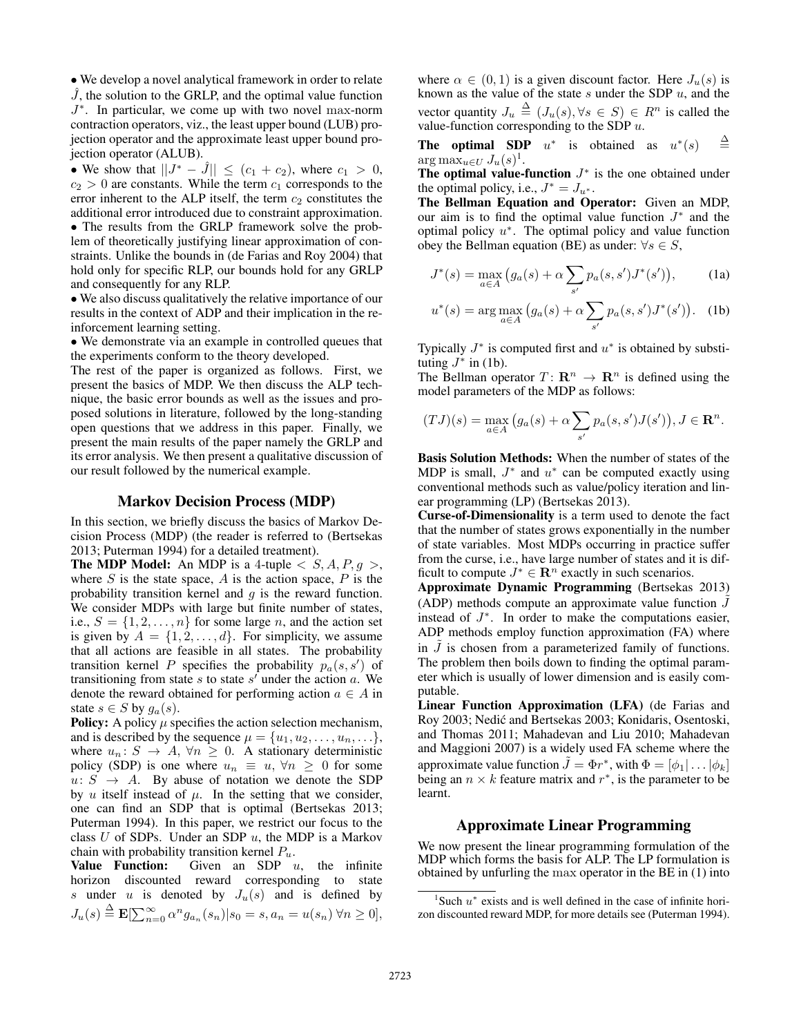• We develop a novel analytical framework in order to relate  $\tilde{J}$ , the solution to the GRLP, and the optimal value function J ∗ . In particular, we come up with two novel max-norm contraction operators, viz., the least upper bound (LUB) projection operator and the approximate least upper bound projection operator (ALUB).

• We show that  $||J^* - \hat{J}|| \le (c_1 + c_2)$ , where  $c_1 > 0$ ,  $c_2 > 0$  are constants. While the term  $c_1$  corresponds to the error inherent to the ALP itself, the term  $c_2$  constitutes the additional error introduced due to constraint approximation.

• The results from the GRLP framework solve the problem of theoretically justifying linear approximation of constraints. Unlike the bounds in (de Farias and Roy 2004) that hold only for specific RLP, our bounds hold for any GRLP and consequently for any RLP.

• We also discuss qualitatively the relative importance of our results in the context of ADP and their implication in the reinforcement learning setting.

• We demonstrate via an example in controlled queues that the experiments conform to the theory developed.

The rest of the paper is organized as follows. First, we present the basics of MDP. We then discuss the ALP technique, the basic error bounds as well as the issues and proposed solutions in literature, followed by the long-standing open questions that we address in this paper. Finally, we present the main results of the paper namely the GRLP and its error analysis. We then present a qualitative discussion of our result followed by the numerical example.

### Markov Decision Process (MDP)

In this section, we briefly discuss the basics of Markov Decision Process (MDP) (the reader is referred to (Bertsekas 2013; Puterman 1994) for a detailed treatment).

**The MDP Model:** An MDP is a 4-tuple  $\langle S, A, P, g \rangle$ , where  $S$  is the state space,  $A$  is the action space,  $P$  is the probability transition kernel and  $q$  is the reward function. We consider MDPs with large but finite number of states, i.e.,  $S = \{1, 2, \ldots, n\}$  for some large n, and the action set is given by  $A = \{1, 2, ..., d\}$ . For simplicity, we assume that all actions are feasible in all states. The probability transition kernel P specifies the probability  $p_a(s, s')$  of transitioning from state s to state  $s'$  under the action  $a$ . We denote the reward obtained for performing action  $a \in A$  in state  $s \in S$  by  $g_a(s)$ .

**Policy:** A policy  $\mu$  specifies the action selection mechanism, and is described by the sequence  $\mu = \{u_1, u_2, \dots, u_n, \dots\},\$ where  $u_n: S \to A, \forall n \geq 0$ . A stationary deterministic policy (SDP) is one where  $u_n \equiv u, \forall n \geq 0$  for some  $u: S \rightarrow A$ . By abuse of notation we denote the SDP by  $u$  itself instead of  $\mu$ . In the setting that we consider, one can find an SDP that is optimal (Bertsekas 2013; Puterman 1994). In this paper, we restrict our focus to the class  $U$  of SDPs. Under an SDP  $u$ , the MDP is a Markov chain with probability transition kernel  $P_u$ .

Value Function: Given an SDP  $u$ , the infinite horizon discounted reward corresponding to state s under u is denoted by  $J_u(s)$  and is defined by  $J_u(s) \stackrel{\Delta}{=} {\bf E}[\sum_{n=0}^{\infty} \alpha^n g_{a_n}(s_n) | s_0 = s, a_n = u(s_n) \,\forall n \geq 0],$ 

where  $\alpha \in (0,1)$  is a given discount factor. Here  $J_u(s)$  is known as the value of the state  $s$  under the SDP  $u$ , and the vector quantity  $J_u \triangleq (J_u(s), \forall s \in S) \in R^n$  is called the value-function corresponding to the SDP  $u$ .

**The optimal SDP**  $u^*$  is obtained as  $u^*(s)$  $\triangleq$  $\arg \max_{u \in U} J_u(s)^1$ .

The optimal value-function  $J^*$  is the one obtained under the optimal policy, i.e.,  $J^* = J_{u^*}$ .

The Bellman Equation and Operator: Given an MDP, our aim is to find the optimal value function  $J^*$  and the optimal policy  $u^*$ . The optimal policy and value function obey the Bellman equation (BE) as under:  $\forall s \in S$ ,

$$
J^*(s) = \max_{a \in A} (g_a(s) + \alpha \sum_{s'} p_a(s, s') J^*(s')), \qquad (1a)
$$

$$
u^*(s) = \arg \max_{a \in A} (g_a(s) + \alpha \sum_{s'} p_a(s, s') J^*(s')). \text{ (1b)}
$$

Typically  $J^*$  is computed first and  $u^*$  is obtained by substituting  $J^*$  in (1b).

The Bellman operator  $T: \mathbb{R}^n \to \mathbb{R}^n$  is defined using the model parameters of the MDP as follows:

$$
(TJ)(s) = \max_{a \in A} (g_a(s) + \alpha \sum_{s'} p_a(s, s')J(s')), J \in \mathbf{R}^n.
$$

Basis Solution Methods: When the number of states of the MDP is small,  $J^*$  and  $u^*$  can be computed exactly using conventional methods such as value/policy iteration and linear programming (LP) (Bertsekas 2013).

Curse-of-Dimensionality is a term used to denote the fact that the number of states grows exponentially in the number of state variables. Most MDPs occurring in practice suffer from the curse, i.e., have large number of states and it is difficult to compute  $J^* \in \mathbb{R}^n$  exactly in such scenarios.

Approximate Dynamic Programming (Bertsekas 2013) (ADP) methods compute an approximate value function  $\tilde{J}$ instead of  $J^*$ . In order to make the computations easier, ADP methods employ function approximation (FA) where in  $\tilde{J}$  is chosen from a parameterized family of functions. The problem then boils down to finding the optimal parameter which is usually of lower dimension and is easily computable.

Linear Function Approximation (LFA) (de Farias and Roy 2003; Nedic and Bertsekas 2003; Konidaris, Osentoski, ´ and Thomas 2011; Mahadevan and Liu 2010; Mahadevan and Maggioni 2007) is a widely used FA scheme where the approximate value function  $\tilde{J} = \Phi r^*$ , with  $\Phi = [\phi_1 | \dots | \phi_k]$ being an  $n \times k$  feature matrix and  $r^*$ , is the parameter to be learnt.

### Approximate Linear Programming

We now present the linear programming formulation of the MDP which forms the basis for ALP. The LP formulation is obtained by unfurling the max operator in the BE in (1) into

 $1$ Such  $u^*$  exists and is well defined in the case of infinite horizon discounted reward MDP, for more details see (Puterman 1994).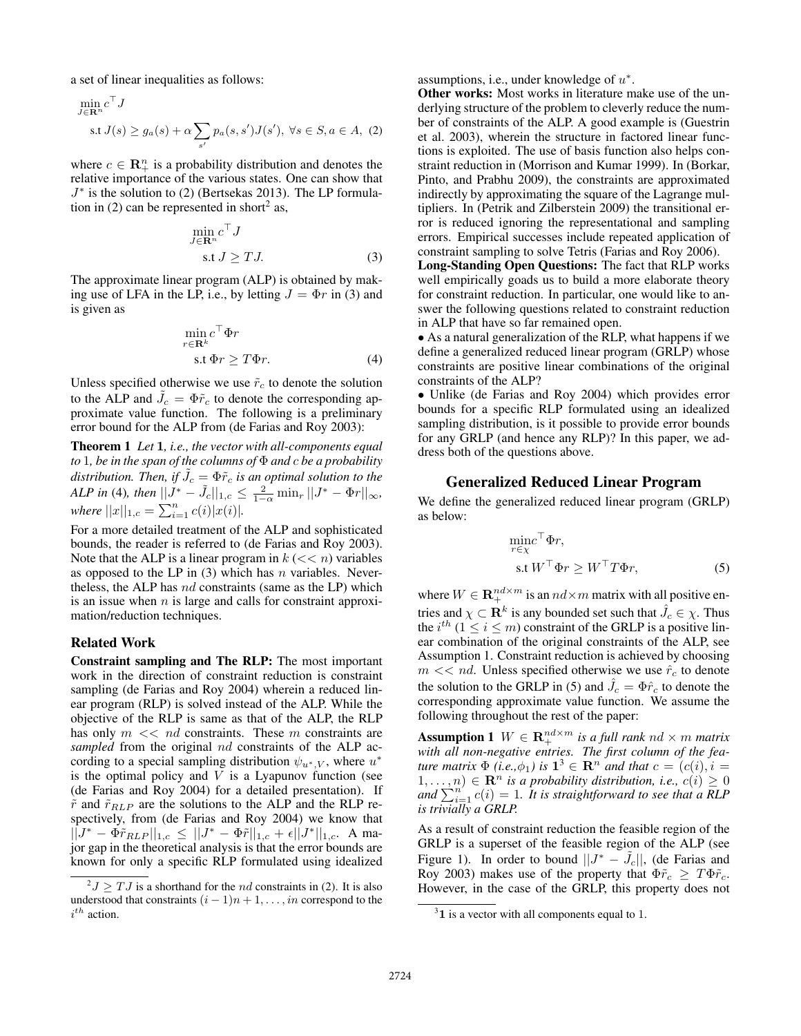a set of linear inequalities as follows:

$$
\min_{J \in \mathbf{R}^n} c^\top J
$$
  
s.t  $J(s) \ge g_a(s) + \alpha \sum_{s'} p_a(s, s') J(s'), \ \forall s \in S, a \in A, (2)$ 

where  $c \in \mathbb{R}_+^n$  is a probability distribution and denotes the relative importance of the various states. One can show that J ∗ is the solution to (2) (Bertsekas 2013). The LP formulation in (2) can be represented in short<sup>2</sup> as,

$$
\min_{J \in \mathbf{R}^n} c^\top J
$$
  
s.t  $J \geq TJ$ . (3)

The approximate linear program (ALP) is obtained by making use of LFA in the LP, i.e., by letting  $J = \Phi r$  in (3) and is given as

$$
\min_{r \in \mathbf{R}^k} c^{\top} \Phi r
$$
  
s.t  $\Phi r \ge T \Phi r$ . (4)

Unless specified otherwise we use  $\tilde{r}_c$  to denote the solution to the ALP and  $\tilde{J}_c = \Phi \tilde{r}_c$  to denote the corresponding approximate value function. The following is a preliminary error bound for the ALP from (de Farias and Roy 2003):

Theorem 1 *Let* 1*, i.e., the vector with all-components equal to* 1*, be in the span of the columns of* Φ *and* c *be a probability* distribution. Then, if  $\tilde{J_c} = \Phi \tilde{r}_c$  is an optimal solution to the *ALP in* (4)*, then*  $||J^* - \tilde{J}_c||_{1,c} \le \frac{2}{1-\alpha} \min_r ||J^* - \Phi r||_{\infty}$ *, where*  $||x||_{1,c} = \sum_{i=1}^{n} c(i)|x(i)|$ .

For a more detailed treatment of the ALP and sophisticated bounds, the reader is referred to (de Farias and Roy 2003). Note that the ALP is a linear program in  $k \, (< \, < n)$  variables as opposed to the LP in  $(3)$  which has n variables. Nevertheless, the ALP has nd constraints (same as the LP) which is an issue when  $n$  is large and calls for constraint approximation/reduction techniques.

#### Related Work

Constraint sampling and The RLP: The most important work in the direction of constraint reduction is constraint sampling (de Farias and Roy 2004) wherein a reduced linear program (RLP) is solved instead of the ALP. While the objective of the RLP is same as that of the ALP, the RLP has only  $m \ll nd$  constraints. These  $m$  constraints are *sampled* from the original nd constraints of the ALP according to a special sampling distribution  $\psi_{u^*,V}$ , where  $u^*$ is the optimal policy and  $V$  is a Lyapunov function (see (de Farias and Roy 2004) for a detailed presentation). If  $\tilde{r}$  and  $\tilde{r}_{RLP}$  are the solutions to the ALP and the RLP respectively, from (de Farias and Roy 2004) we know that  $||J^* - \Phi \tilde{r}_{RLP}||_{1,c} \leq ||J^* - \Phi \tilde{r}||_{1,c} + \epsilon ||J^*||_{1,c}.$  A major gap in the theoretical analysis is that the error bounds are known for only a specific RLP formulated using idealized assumptions, i.e., under knowledge of  $u^*$ .

Other works: Most works in literature make use of the underlying structure of the problem to cleverly reduce the number of constraints of the ALP. A good example is (Guestrin et al. 2003), wherein the structure in factored linear functions is exploited. The use of basis function also helps constraint reduction in (Morrison and Kumar 1999). In (Borkar, Pinto, and Prabhu 2009), the constraints are approximated indirectly by approximating the square of the Lagrange multipliers. In (Petrik and Zilberstein 2009) the transitional error is reduced ignoring the representational and sampling errors. Empirical successes include repeated application of constraint sampling to solve Tetris (Farias and Roy 2006).

Long-Standing Open Questions: The fact that RLP works well empirically goads us to build a more elaborate theory for constraint reduction. In particular, one would like to answer the following questions related to constraint reduction in ALP that have so far remained open.

• As a natural generalization of the RLP, what happens if we define a generalized reduced linear program (GRLP) whose constraints are positive linear combinations of the original constraints of the ALP?

• Unlike (de Farias and Roy 2004) which provides error bounds for a specific RLP formulated using an idealized sampling distribution, is it possible to provide error bounds for any GRLP (and hence any RLP)? In this paper, we address both of the questions above.

### Generalized Reduced Linear Program

We define the generalized reduced linear program (GRLP) as below:

$$
\begin{aligned}\n\min_{r \in \chi} & \sigma^{\top} \Phi r, \\
\text{s.t } & W^{\top} \Phi r \ge W^{\top} T \Phi r,\n\end{aligned} \tag{5}
$$

where  $W \in \mathbf{R}^{nd \times m}_{+}$  is an  $nd \times m$  matrix with all positive entries and  $\chi \subset \mathbf{R}^k$  is any bounded set such that  $\hat{J_c} \in \chi$ . Thus the  $i^{th}$  ( $1 \le i \le m$ ) constraint of the GRLP is a positive linear combination of the original constraints of the ALP, see Assumption 1. Constraint reduction is achieved by choosing  $m \ll nd$ . Unless specified otherwise we use  $\hat{r}_c$  to denote the solution to the GRLP in (5) and  $\hat{J}_c = \Phi \hat{r}_c$  to denote the corresponding approximate value function. We assume the following throughout the rest of the paper:

**Assumption 1**  $W \in \mathbf{R}_{+}^{nd \times m}$  is a full rank  $nd \times m$  matrix *with all non-negative entries. The first column of the feature matrix*  $\Phi$  *(i.e.,* $\phi_1$ *) is*  $\mathbf{1}^3 \in \mathbb{R}^n$  *and that*  $c = (c(i), i =$  $(1, \ldots, n) \in \mathbb{R}^n$  *is a probability distribution, i.e.,*  $c(i) \geq 0$ and  $\sum_{i=1}^{n'} c(i) = 1$ . It is straightforward to see that a RLP *is trivially a GRLP.*

As a result of constraint reduction the feasible region of the GRLP is a superset of the feasible region of the ALP (see Figure 1). In order to bound  $||J^* - \tilde{J}_c||$ , (de Farias and Roy 2003) makes use of the property that  $\Phi \tilde{r}_c \geq T \Phi \tilde{r}_c$ . However, in the case of the GRLP, this property does not

 $^2J \geq TJ$  is a shorthand for the *nd* constraints in (2). It is also understood that constraints  $(i - 1)n + 1, \ldots, in$  correspond to the  $i^{th}$  action.

 $31$  is a vector with all components equal to 1.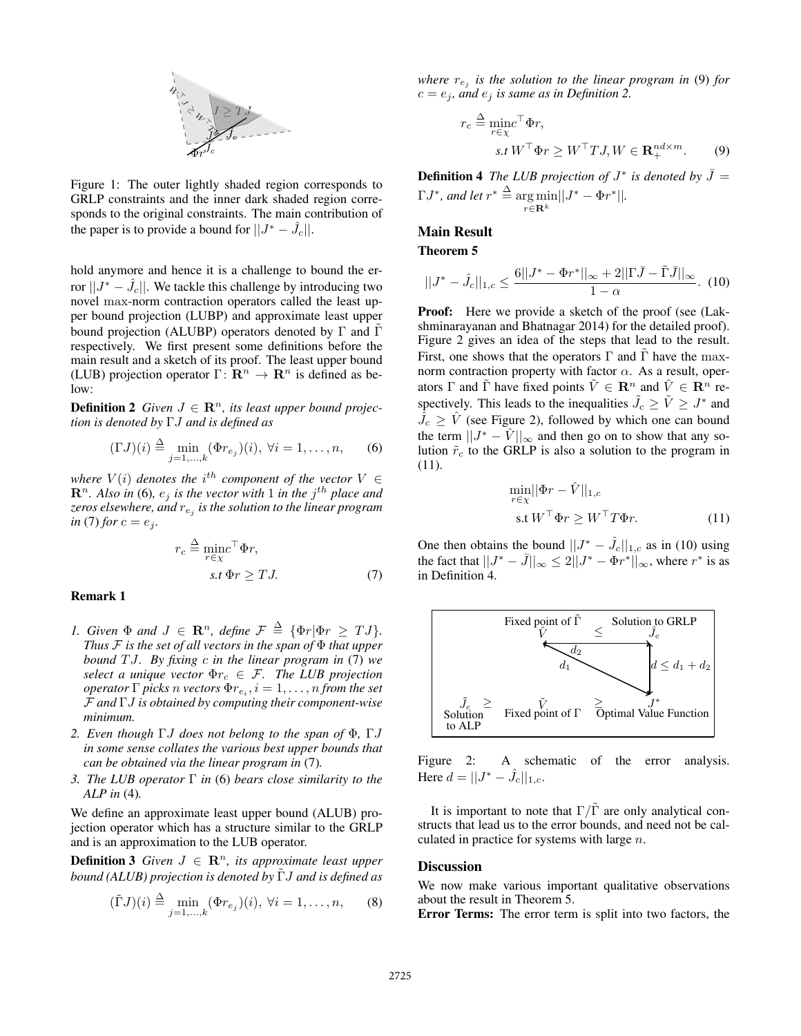

Figure 1: The outer lightly shaded region corresponds to GRLP constraints and the inner dark shaded region corresponds to the original constraints. The main contribution of the paper is to provide a bound for  $||J^* - \hat{J}_c||$ .

hold anymore and hence it is a challenge to bound the error  $||J^* - \hat{J}_c||$ . We tackle this challenge by introducing two novel max-norm contraction operators called the least upper bound projection (LUBP) and approximate least upper bound projection (ALUBP) operators denoted by  $\Gamma$  and  $\Gamma$ respectively. We first present some definitions before the main result and a sketch of its proof. The least upper bound (LUB) projection operator  $\Gamma: \mathbb{R}^n \to \mathbb{R}^n$  is defined as below:

**Definition 2** *Given*  $J \in \mathbb{R}^n$ *, its least upper bound projection is denoted by* ΓJ *and is defined as*

$$
(\Gamma J)(i) \stackrel{\Delta}{=} \min_{j=1,\dots,k} (\Phi r_{e_j})(i), \ \forall i = 1,\dots,n,\qquad(6)
$$

where  $V(i)$  denotes the i<sup>th</sup> component of the vector  $V \in$  $\mathbf{R}^n$ . Also in (6),  $e_j$  is the vector with 1 in the  $j^{th}$  place and *zeros elsewhere, and* r<sup>e</sup><sup>j</sup> *is the solution to the linear program in* (7) *for*  $c = e_j$ *.* 

$$
r_c \stackrel{\Delta}{=} \frac{\text{min}}{r \in \chi} \Phi r,
$$
  
s.t  $\Phi r \geq TJ.$  (7)

#### Remark 1

- *1. Given*  $\Phi$  *and*  $J \in \mathbb{R}^n$ *, define*  $\mathcal{F} \triangleq {\Phi r | \Phi r \geq T J}$ *. Thus* F *is the set of all vectors in the span of* Φ *that upper bound* T J*. By fixing* c *in the linear program in* (7) *we select a unique vector*  $\Phi r_c \in \mathcal{F}$ *. The LUB projection*  $\mathit{operator} \Gamma$  *picks*  $n$  *vectors*  $\Phi r_{e_i}, i = 1, \ldots, n$  *from the set* F *and* ΓJ *is obtained by computing their component-wise minimum.*
- *2. Even though* ΓJ *does not belong to the span of* Φ*,* ΓJ *in some sense collates the various best upper bounds that can be obtained via the linear program in* (7)*.*
- *3. The LUB operator* Γ *in* (6) *bears close similarity to the ALP in* (4)*.*

We define an approximate least upper bound (ALUB) projection operator which has a structure similar to the GRLP and is an approximation to the LUB operator.

**Definition 3** *Given*  $J \in \mathbb{R}^n$ *, its approximate least upper bound (ALUB) projection is denoted by* Γ*J and is defined as* 

$$
(\tilde{\Gamma}J)(i) \stackrel{\Delta}{=} \min_{j=1,\dots,k} (\Phi r_{e_j})(i), \ \forall i = 1,\dots,n,
$$
 (8)

*where*  $r_{e_j}$  *is the solution to the linear program in* (9) *for*  $c = e_j$ , and  $e_j$  *is same as in Definition 2.* 

$$
r_c \stackrel{\Delta}{=} \min_{r \in \chi} \tau \Phi r,
$$
  
s.t  $W^\top \Phi r \ge W^\top T J, W \in \mathbf{R}_+^{nd \times m}$ . (9)

**Definition 4** The LUB projection of  $J^*$  is denoted by  $\bar{J} =$  $\Gamma J^*$ *, and let*  $r^* \stackrel{\Delta}{=} \argmin$  $r \in \mathbf{R}^k$  $||J^* - \Phi r^*||.$ 

## Main Result

Theorem 5

$$
||J^* - \hat{J}_c||_{1,c} \le \frac{6||J^* - \Phi r^*||_{\infty} + 2||\Gamma \bar{J} - \tilde{\Gamma}\bar{J}||_{\infty}}{1 - \alpha}.
$$
 (10)

Proof: Here we provide a sketch of the proof (see (Lakshminarayanan and Bhatnagar 2014) for the detailed proof). Figure 2 gives an idea of the steps that lead to the result. First, one shows that the operators  $\Gamma$  and  $\Gamma$  have the maxnorm contraction property with factor  $\alpha$ . As a result, operators  $\Gamma$  and  $\tilde{\Gamma}$  have fixed points  $\tilde{V} \in \mathbb{R}^n$  and  $\hat{V} \in \mathbb{R}^n$  respectively. This leads to the inequalities  $\tilde{J}_c \ge \tilde{V} \ge J^*$  and  $\hat{J}_c \geq \hat{V}$  (see Figure 2), followed by which one can bound the term  $||J^* - \hat{V}||_{\infty}$  and then go on to show that any solution  $\tilde{r}_c$  to the GRLP is also a solution to the program in (11).

$$
\min_{r \in \chi} ||\Phi r - \hat{V}||_{1,c}
$$
  
s.t  $W^{\top} \Phi r \ge W^{\top} T \Phi r$ . (11)

One then obtains the bound  $||J^* - \hat{J}_c||_{1,c}$  as in (10) using the fact that  $||J^* - \bar{J}||_{\infty} \leq 2||J^* - \Phi r^*||_{\infty}$ , where  $r^*$  is as in Definition 4.



Figure 2: A schematic of the error analysis. Here  $d = ||J^* - \hat{J}_c||_{1,c}$ .

It is important to note that  $\Gamma/\tilde{\Gamma}$  are only analytical constructs that lead us to the error bounds, and need not be calculated in practice for systems with large n.

#### **Discussion**

We now make various important qualitative observations about the result in Theorem 5.

Error Terms: The error term is split into two factors, the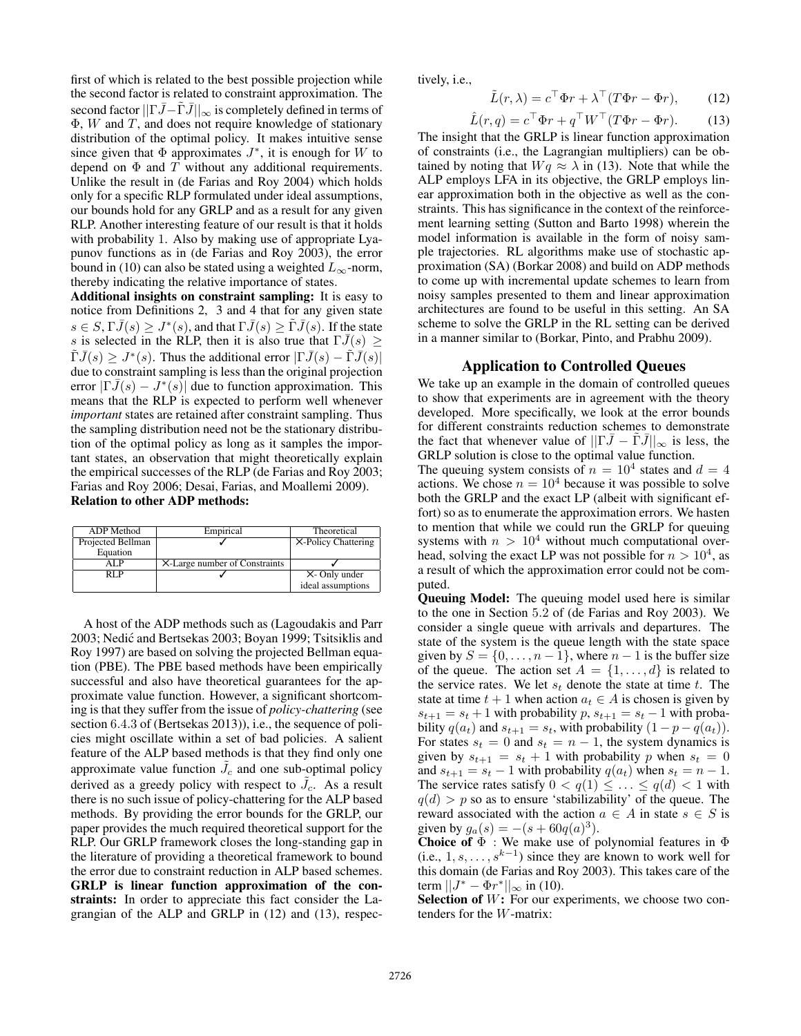first of which is related to the best possible projection while the second factor is related to constraint approximation. The second factor  $||\Gamma \bar{J} - \tilde{\Gamma} \bar{J}||_{\infty}$  is completely defined in terms of  $\Phi$ , W and T, and does not require knowledge of stationary distribution of the optimal policy. It makes intuitive sense since given that  $\Phi$  approximates  $J^*$ , it is enough for W to depend on  $\Phi$  and  $T$  without any additional requirements. Unlike the result in (de Farias and Roy 2004) which holds only for a specific RLP formulated under ideal assumptions, our bounds hold for any GRLP and as a result for any given RLP. Another interesting feature of our result is that it holds with probability 1. Also by making use of appropriate Lyapunov functions as in (de Farias and Roy 2003), the error bound in (10) can also be stated using a weighted  $L_{\infty}$ -norm, thereby indicating the relative importance of states.

Additional insights on constraint sampling: It is easy to notice from Definitions 2, 3 and 4 that for any given state  $s \in S, \Gamma \bar{J}(s) \geq J^*(s)$ , and that  $\Gamma \bar{J}(s) \geq \tilde{\Gamma} \bar{J}(s)$ . If the state s is selected in the RLP, then it is also true that  $\Gamma \overline{J}(s)$  >  $\tilde{\Gamma}\bar{J}(s) \geq J^*(s)$ . Thus the additional error  $|\Gamma \bar{J}(s) - \tilde{\Gamma} \bar{J}(s)|$ due to constraint sampling is less than the original projection error  $|\Gamma \bar{J}(s) - J^*(s)|$  due to function approximation. This means that the RLP is expected to perform well whenever *important* states are retained after constraint sampling. Thus the sampling distribution need not be the stationary distribution of the optimal policy as long as it samples the important states, an observation that might theoretically explain the empirical successes of the RLP (de Farias and Roy 2003; Farias and Roy 2006; Desai, Farias, and Moallemi 2009). Relation to other ADP methods:

| ADP Method        | Empirical                     | Theoretical         |
|-------------------|-------------------------------|---------------------|
| Projected Bellman |                               | X-Policy Chattering |
| Equation          |                               |                     |
| AL P              | X-Large number of Constraints |                     |
| RL P              |                               | X- Only under       |
|                   |                               | ideal assumptions   |

A host of the ADP methods such as (Lagoudakis and Parr 2003; Nedic and Bertsekas 2003; Boyan 1999; Tsitsiklis and ´ Roy 1997) are based on solving the projected Bellman equation (PBE). The PBE based methods have been empirically successful and also have theoretical guarantees for the approximate value function. However, a significant shortcoming is that they suffer from the issue of *policy-chattering* (see section 6.4.3 of (Bertsekas 2013)), i.e., the sequence of policies might oscillate within a set of bad policies. A salient feature of the ALP based methods is that they find only one approximate value function  $\tilde{J}_c$  and one sub-optimal policy derived as a greedy policy with respect to  $\tilde{J}_c$ . As a result there is no such issue of policy-chattering for the ALP based methods. By providing the error bounds for the GRLP, our paper provides the much required theoretical support for the RLP. Our GRLP framework closes the long-standing gap in the literature of providing a theoretical framework to bound the error due to constraint reduction in ALP based schemes. GRLP is linear function approximation of the constraints: In order to appreciate this fact consider the Lagrangian of the ALP and GRLP in (12) and (13), respectively, i.e.,

$$
\tilde{L}(r,\lambda) = c^{\top} \Phi r + \lambda^{\top} (T \Phi r - \Phi r), \qquad (12)
$$

$$
\hat{L}(r,q) = c^{\top} \Phi r + q^{\top} W^{\top} (T \Phi r - \Phi r). \tag{13}
$$

The insight that the GRLP is linear function approximation of constraints (i.e., the Lagrangian multipliers) can be obtained by noting that  $Wq \approx \lambda$  in (13). Note that while the ALP employs LFA in its objective, the GRLP employs linear approximation both in the objective as well as the constraints. This has significance in the context of the reinforcement learning setting (Sutton and Barto 1998) wherein the model information is available in the form of noisy sample trajectories. RL algorithms make use of stochastic approximation (SA) (Borkar 2008) and build on ADP methods to come up with incremental update schemes to learn from noisy samples presented to them and linear approximation architectures are found to be useful in this setting. An SA scheme to solve the GRLP in the RL setting can be derived in a manner similar to (Borkar, Pinto, and Prabhu 2009).

## Application to Controlled Queues

We take up an example in the domain of controlled queues to show that experiments are in agreement with the theory developed. More specifically, we look at the error bounds for different constraints reduction schemes to demonstrate the fact that whenever value of  $||\Gamma \bar{J} - \Gamma \bar{J}||_{\infty}$  is less, the GRLP solution is close to the optimal value function. The queuing system consists of  $n = 10^4$  states and  $d = 4$ 

actions. We chose  $n = 10<sup>4</sup>$  because it was possible to solve both the GRLP and the exact LP (albeit with significant effort) so as to enumerate the approximation errors. We hasten to mention that while we could run the GRLP for queuing systems with  $n > 10<sup>4</sup>$  without much computational overhead, solving the exact LP was not possible for  $n > 10^4$ , as a result of which the approximation error could not be computed.

Queuing Model: The queuing model used here is similar to the one in Section 5.2 of (de Farias and Roy 2003). We consider a single queue with arrivals and departures. The state of the system is the queue length with the state space given by  $S = \{0, \ldots, n-1\}$ , where  $n-1$  is the buffer size of the queue. The action set  $A = \{1, \ldots, d\}$  is related to the service rates. We let  $s_t$  denote the state at time t. The state at time  $t + 1$  when action  $a_t \in A$  is chosen is given by  $s_{t+1} = s_t + 1$  with probability p,  $s_{t+1} = s_t - 1$  with probability  $q(a_t)$  and  $s_{t+1} = s_t$ , with probability  $(1 - p - q(a_t))$ . For states  $s_t = 0$  and  $s_t = n - 1$ , the system dynamics is given by  $s_{t+1} = s_t + 1$  with probability p when  $s_t = 0$ and  $s_{t+1} = s_t - 1$  with probability  $q(a_t)$  when  $s_t = n - 1$ . The service rates satisfy  $0 < q(1) \leq \ldots \leq q(d) < 1$  with  $q(d)$  > p so as to ensure 'stabilizability' of the queue. The reward associated with the action  $a \in A$  in state  $s \in S$  is given by  $g_a(s) = -(s + 60q(a)^3)$ .

Choice of  $\Phi$  : We make use of polynomial features in  $\Phi$ (i.e.,  $1, s, \ldots, s^{k-1}$ ) since they are known to work well for this domain (de Farias and Roy 2003). This takes care of the term  $||J^* - \Phi r^*||_{\infty}$  in (10).

**Selection of**  $W$ **:** For our experiments, we choose two contenders for the W-matrix: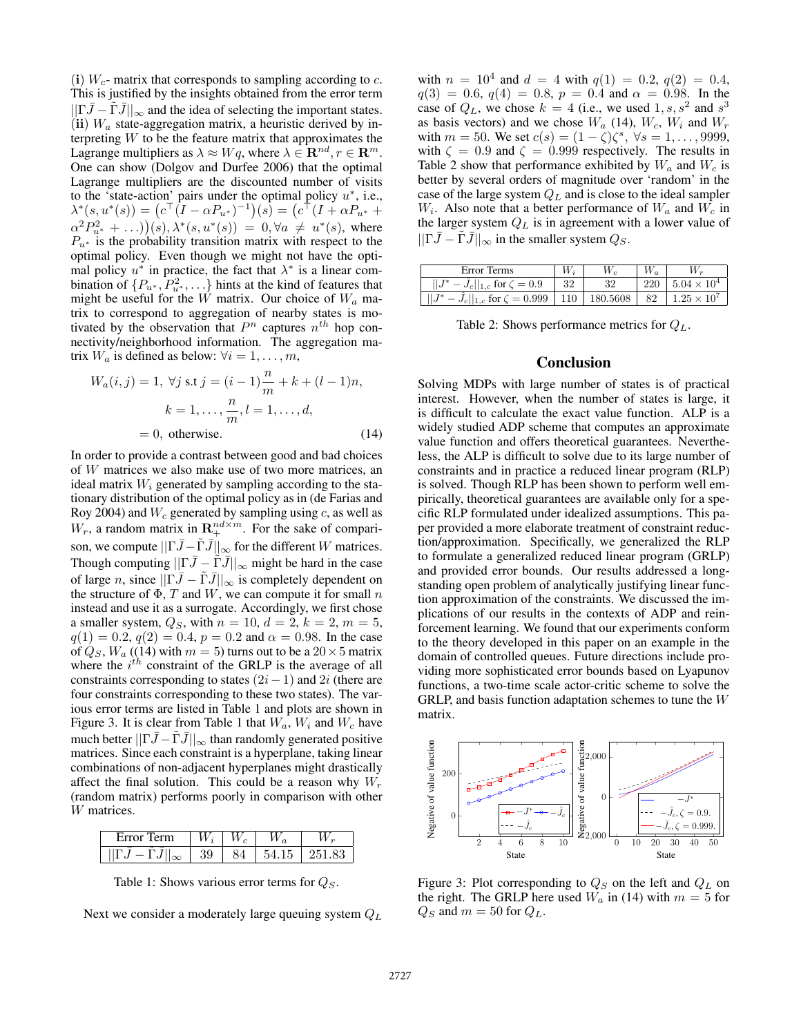(i)  $W_c$ - matrix that corresponds to sampling according to c. This is justified by the insights obtained from the error term  $||\Gamma \overline{J} - \overline{\Gamma} \overline{J}||_{\infty}$  and the idea of selecting the important states. (ii)  $W_a$  state-aggregation matrix, a heuristic derived by interpreting  $W$  to be the feature matrix that approximates the Lagrange multipliers as  $\lambda \approx Wq$ , where  $\lambda \in \mathbb{R}^{nd}$ ,  $r \in \mathbb{R}^{m}$ . One can show (Dolgov and Durfee 2006) that the optimal Lagrange multipliers are the discounted number of visits to the 'state-action' pairs under the optimal policy  $u^*$ , i.e.,  $\lambda^*(s, u^*(s)) = (c^{\top} (I - \alpha P_{u^*})^{-1})(s) = (c^{\top} (I + \alpha P_{u^*} +$  $\alpha^2 P_{u^*}^2 + ...)(s), \lambda^*(s, u^*(s)) = 0, \forall a \neq u^*(s)$ , where  $P_{u^*}$  is the probability transition matrix with respect to the optimal policy. Even though we might not have the optimal policy  $u^*$  in practice, the fact that  $\lambda^*$  is a linear combination of  $\{P_{u^*}, \overline{P_{u^*}^2}, \ldots\}$  hints at the kind of features that might be useful for the W matrix. Our choice of  $W_a$  matrix to correspond to aggregation of nearby states is motivated by the observation that  $P^n$  captures  $n^{th}$  hop connectivity/neighborhood information. The aggregation matrix  $W_a$  is defined as below:  $\forall i = 1, \ldots, m$ ,

$$
W_a(i,j) = 1, \,\forall j \text{ s.t } j = (i-1)\frac{n}{m} + k + (l-1)n,
$$

$$
k = 1, \dots, \frac{n}{m}, l = 1, \dots, d,
$$

$$
= 0, \text{ otherwise.}
$$
(14)

In order to provide a contrast between good and bad choices of W matrices we also make use of two more matrices, an ideal matrix  $W_i$  generated by sampling according to the stationary distribution of the optimal policy as in (de Farias and Roy 2004) and  $W_c$  generated by sampling using c, as well as  $W_r$ , a random matrix in  $\mathbf{R}^{nd \times m}_{+}$ . For the sake of comparison, we compute  $\|\Gamma \bar{J} - \tilde{\Gamma} \bar{J}\|_{\infty}$  for the different W matrices. Though computing  $||\Gamma \bar{J} - \Gamma \bar{J}||_{\infty}$  might be hard in the case of large n, since  $||\Gamma \bar{J} - \tilde{\Gamma} \bar{J}||_{\infty}$  is completely dependent on the structure of  $\Phi$ , T and W, we can compute it for small n instead and use it as a surrogate. Accordingly, we first chose a smaller system,  $Q_S$ , with  $n = 10$ ,  $d = 2$ ,  $k = 2$ ,  $m = 5$ ,  $q(1) = 0.2, q(2) = 0.4, p = 0.2$  and  $\alpha = 0.98$ . In the case of  $Q_S$ ,  $W_a$  ((14) with  $m = 5$ ) turns out to be a  $20 \times 5$  matrix where the  $i^{th}$  constraint of the GRLP is the average of all constraints corresponding to states  $(2i-1)$  and  $2i$  (there are four constraints corresponding to these two states). The various error terms are listed in Table 1 and plots are shown in Figure 3. It is clear from Table 1 that  $W_a$ ,  $W_i$  and  $W_c$  have much better  $\left\vert \left\vert \Gamma \bar{J} - \Gamma \bar{J} \right\vert \right\vert_{\infty}$  than randomly generated positive matrices. Since each constraint is a hyperplane, taking linear combinations of non-adjacent hyperplanes might drastically affect the final solution. This could be a reason why  $W_r$ (random matrix) performs poorly in comparison with other W matrices.

| Error Term | $\mid W_i \mid$ |     |                          |
|------------|-----------------|-----|--------------------------|
|            | -39             | -84 | $\pm$ 54.15 $\pm$ 251.83 |

Table 1: Shows various error terms for  $Q_S$ .

Next we consider a moderately large queuing system  $Q_L$ 

with  $n = 10^4$  and  $d = 4$  with  $q(1) = 0.2$ ,  $q(2) = 0.4$ ,  $q(3) = 0.6, q(4) = 0.8, p = 0.4$  and  $\alpha = 0.98$ . In the case of  $Q_L$ , we chose  $k = 4$  (i.e., we used 1, s, s<sup>2</sup> and s<sup>3</sup> as basis vectors) and we chose  $W_a$  (14),  $W_c$ ,  $W_i$  and  $W_r$ with  $m = 50$ . We set  $c(s) = (1 - \zeta)\zeta^s$ ,  $\forall s = 1, ..., 9999$ , with  $\zeta = 0.9$  and  $\zeta = 0.999$  respectively. The results in Table 2 show that performance exhibited by  $W_a$  and  $W_c$  is better by several orders of magnitude over 'random' in the case of the large system  $Q_L$  and is close to the ideal sampler  $W_i$ . Also note that a better performance of  $W_a$  and  $W_c$  in the larger system  $Q_L$  is in agreement with a lower value of  $||\Gamma \bar{J} - \tilde{\Gamma} \bar{J}||_{\infty}$  in the smaller system  $Q_S$ .

| Error Terms                                                                              | $W_i$          |    | $W_a$ |                        |
|------------------------------------------------------------------------------------------|----------------|----|-------|------------------------|
| $-J_c  _{1,c}$ for $\zeta = 0.9$                                                         | $\frac{32}{5}$ | 32 | 220   | $1.5.04 \times 10^{4}$ |
| $  J^* - J_c  _{1,c}$ for $\zeta = 0.999$   110   180.5608   82   1.25 × 10 <sup>7</sup> |                |    |       |                        |

|  |  | Table 2: Shows performance metrics for $Q_L$ . |  |  |  |
|--|--|------------------------------------------------|--|--|--|
|--|--|------------------------------------------------|--|--|--|

#### Conclusion

Solving MDPs with large number of states is of practical interest. However, when the number of states is large, it is difficult to calculate the exact value function. ALP is a widely studied ADP scheme that computes an approximate value function and offers theoretical guarantees. Nevertheless, the ALP is difficult to solve due to its large number of constraints and in practice a reduced linear program (RLP) is solved. Though RLP has been shown to perform well empirically, theoretical guarantees are available only for a specific RLP formulated under idealized assumptions. This paper provided a more elaborate treatment of constraint reduction/approximation. Specifically, we generalized the RLP to formulate a generalized reduced linear program (GRLP) and provided error bounds. Our results addressed a longstanding open problem of analytically justifying linear function approximation of the constraints. We discussed the implications of our results in the contexts of ADP and reinforcement learning. We found that our experiments conform to the theory developed in this paper on an example in the domain of controlled queues. Future directions include providing more sophisticated error bounds based on Lyapunov functions, a two-time scale actor-critic scheme to solve the GRLP, and basis function adaptation schemes to tune the W matrix.



Figure 3: Plot corresponding to  $Q_S$  on the left and  $Q_L$  on the right. The GRLP here used  $W_a$  in (14) with  $m = 5$  for  $Q_S$  and  $m = 50$  for  $Q_L$ .